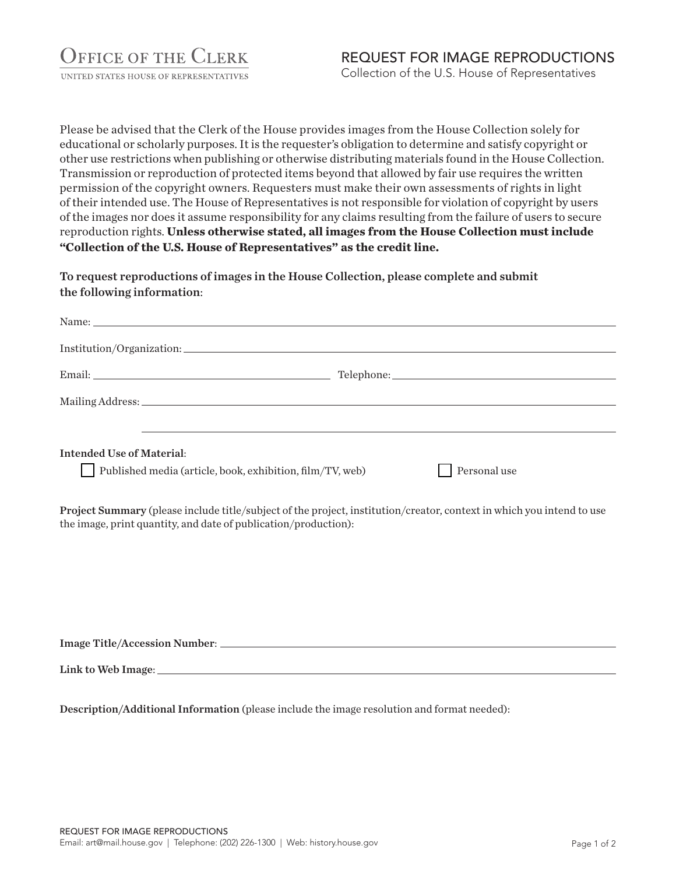UNITED STATES HOUSE OF REPRESENTATIVES

Please be advised that the Clerk of the House provides images from the House Collection solely for educational or scholarly purposes. It is the requester's obligation to determine and satisfy copyright or other use restrictions when publishing or otherwise distributing materials found in the House Collection. Transmission or reproduction of protected items beyond that allowed by fair use requires the written permission of the copyright owners. Requesters must make their own assessments of rights in light of their intended use. The House of Representatives is not responsible for violation of copyright by users of the images nor does it assume responsibility for any claims resulting from the failure of users to secure reproduction rights. **Unless otherwise stated, all images from the House Collection must include "Collection of the U.S. House of Representatives" as the credit line.**

To request reproductions of images in the House Collection, please complete and submit the following information:

| Intended Use of Material:                                 |              |
|-----------------------------------------------------------|--------------|
| Published media (article, book, exhibition, film/TV, web) | Personal use |

Project Summary (please include title/subject of the project, institution/creator, context in which you intend to use the image, print quantity, and date of publication/production):

Image Title/Accession Number:

Description/Additional Information (please include the image resolution and format needed):

Link to Web Image: